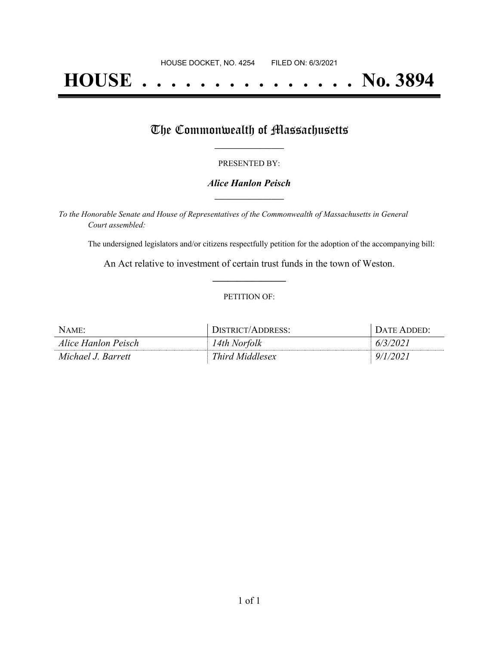# **HOUSE . . . . . . . . . . . . . . . No. 3894**

## The Commonwealth of Massachusetts

#### PRESENTED BY:

#### *Alice Hanlon Peisch* **\_\_\_\_\_\_\_\_\_\_\_\_\_\_\_\_\_**

*To the Honorable Senate and House of Representatives of the Commonwealth of Massachusetts in General Court assembled:*

The undersigned legislators and/or citizens respectfully petition for the adoption of the accompanying bill:

An Act relative to investment of certain trust funds in the town of Weston. **\_\_\_\_\_\_\_\_\_\_\_\_\_\_\_**

#### PETITION OF:

| $N$ AME:            | DISTRICT/ADDRESS: | DATE ADDED: |
|---------------------|-------------------|-------------|
| Alice Hanlon Peisch | 14th Norfolk      | 6/3/2021    |
| Michael J. Barrett  | Third Middlesex   | 9/1/2021    |